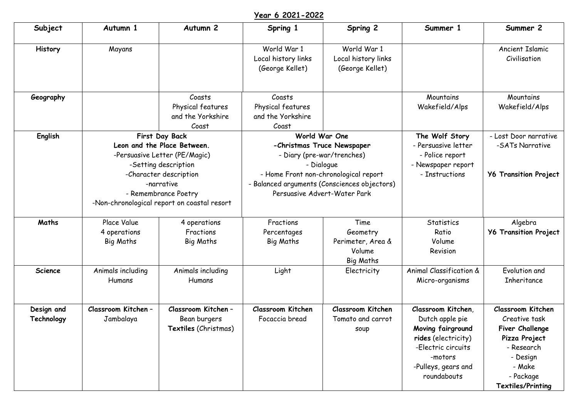## **Year 6 2021-2022**

| Subject                  | Autumn 1                                                                                                                                                               | Autumn <sub>2</sub>                                                                          | Spring 1                                                                                                                                                                                                         | Spring 2                                              | Summer 1                                                                                                                                                 | Summer 2                                                                                                                                     |
|--------------------------|------------------------------------------------------------------------------------------------------------------------------------------------------------------------|----------------------------------------------------------------------------------------------|------------------------------------------------------------------------------------------------------------------------------------------------------------------------------------------------------------------|-------------------------------------------------------|----------------------------------------------------------------------------------------------------------------------------------------------------------|----------------------------------------------------------------------------------------------------------------------------------------------|
| History                  | Mayans                                                                                                                                                                 |                                                                                              | World War 1<br>Local history links<br>(George Kellet)                                                                                                                                                            | World War 1<br>Local history links<br>(George Kellet) |                                                                                                                                                          | Ancient Islamic<br>Civilisation                                                                                                              |
| Geography                |                                                                                                                                                                        | Coasts<br>Physical features<br>and the Yorkshire<br>Coast                                    | Coasts<br>Physical features<br>and the Yorkshire<br>Coast                                                                                                                                                        |                                                       | Mountains<br>Wakefield/Alps                                                                                                                              | Mountains<br>Wakefield/Alps                                                                                                                  |
| English                  | First Day Back<br>Leon and the Place Between.<br>-Persuasive Letter (PE/Magic)<br>-Setting description<br>-Character description<br>-narrative<br>- Remembrance Poetry |                                                                                              | World War One<br>-Christmas Truce Newspaper<br>- Diary (pre-war/trenches)<br>- Dialogue<br>- Home Front non-chronological report<br>- Balanced arguments (Consciences objectors)<br>Persuasive Advert-Water Park |                                                       | The Wolf Story<br>- Persuasive letter<br>- Police report<br>- Newspaper report<br>- Instructions                                                         | - Lost Door narrative<br>-SATs Narrative<br><b>Y6 Transition Project</b>                                                                     |
| Maths                    | Place Value<br>4 operations<br><b>Big Maths</b>                                                                                                                        | -Non-chronological report on coastal resort<br>4 operations<br>Fractions<br><b>Big Maths</b> | Fractions<br>Percentages<br><b>Big Maths</b>                                                                                                                                                                     | Time<br>Geometry<br>Perimeter, Area &<br>Volume       | <b>Statistics</b><br>Ratio<br>Volume<br>Revision                                                                                                         | Algebra<br><b>Y6 Transition Project</b>                                                                                                      |
| <b>Science</b>           | Animals including<br>Humans                                                                                                                                            | Animals including<br>Humans                                                                  | Light                                                                                                                                                                                                            | Big Maths<br>Electricity                              | Animal Classification &<br>Micro-organisms                                                                                                               | Evolution and<br>Inheritance                                                                                                                 |
| Design and<br>Technology | Classroom Kitchen -<br>Jambalaya                                                                                                                                       | Classroom Kitchen -<br>Bean burgers<br>Textiles (Christmas)                                  | Classroom Kitchen<br>Focaccia bread                                                                                                                                                                              | <b>Classroom Kitchen</b><br>Tomato and carrot<br>soup | Classroom Kitchen,<br>Dutch apple pie<br>Moving fairground<br>rides (electricity)<br>-Electric circuits<br>-motors<br>-Pulleys, gears and<br>roundabouts | Classroom Kitchen<br>Creative task<br>Fiver Challenge<br>Pizza Project<br>- Research<br>- Design<br>- Make<br>- Package<br>Textiles/Printing |